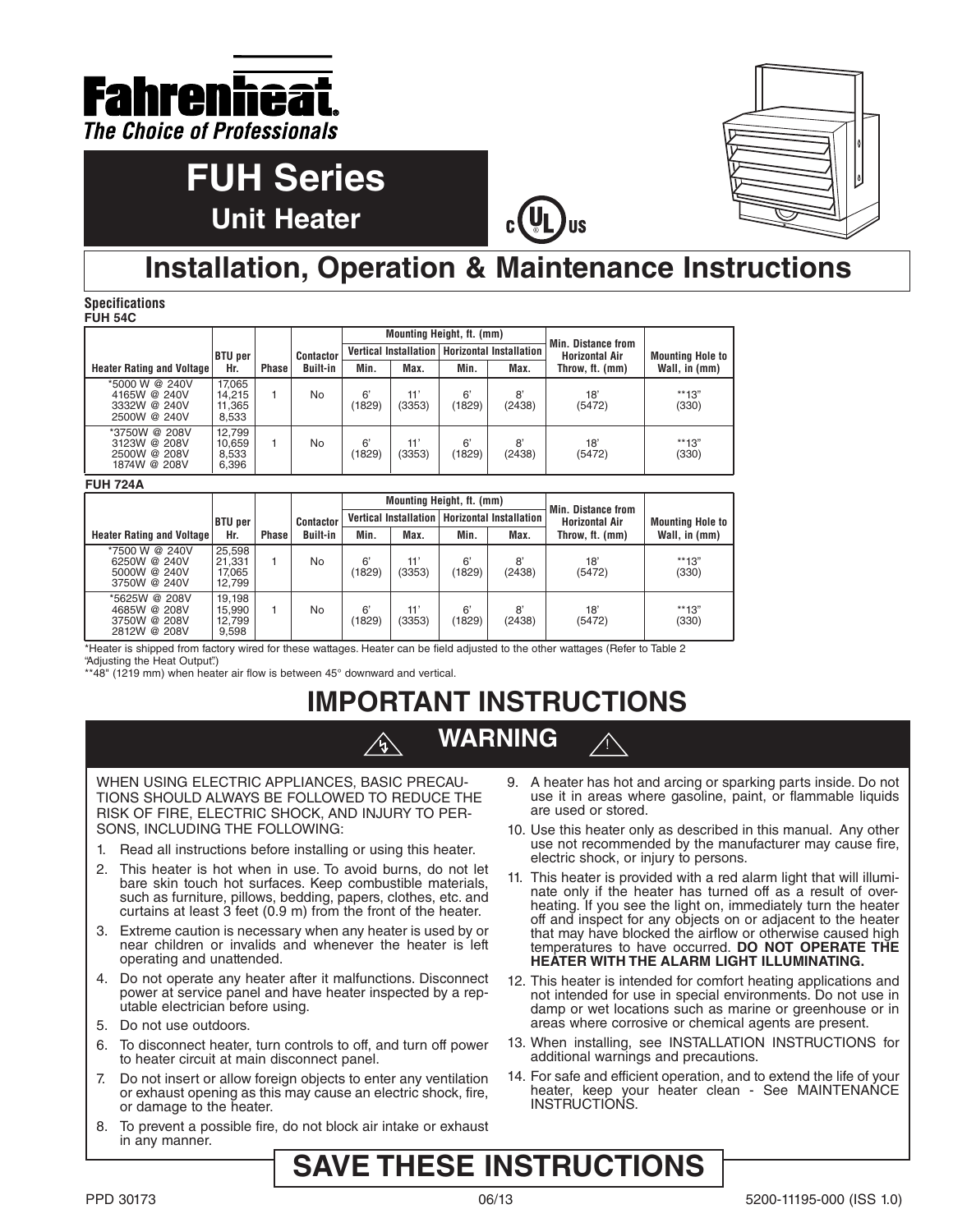

# **FUH Series Unit Heater**



## **Installation, Operation & Maintenance Instructions**

**Specifications FUH 54C**

|                                                                |                                     |              |                  | Mounting Height, ft. (mm) |               |                                                 |              | Min. Distance from    |                         |
|----------------------------------------------------------------|-------------------------------------|--------------|------------------|---------------------------|---------------|-------------------------------------------------|--------------|-----------------------|-------------------------|
|                                                                | <b>BTU</b> per                      |              | <b>Contactor</b> |                           |               | Vertical Installation   Horizontal Installation |              | <b>Horizontal Air</b> | <b>Mounting Hole to</b> |
| <b>Heater Rating and Voltage</b>                               | Hr.                                 | <b>Phase</b> | <b>Built-in</b>  | Min.                      | Max.          | Min.                                            | Max.         | Throw, ft. (mm)       | Wall, in (mm)           |
| *5000 W @ 240V<br>4165W @ 240V<br>3332W @ 240V<br>2500W @ 240V | 17.065<br>14.215<br>11,365<br>8,533 |              | No               | 6'<br>(1829)              | 11'<br>(3353) | 6'<br>(1829)                                    | 8'<br>(2438) | 18'<br>(5472)         | **13"<br>(330)          |
| *3750W @ 208V<br>3123W @ 208V<br>2500W @ 208V<br>1874W @ 208V  | 12.799<br>10,659<br>8,533<br>6,396  |              | No               | 6'<br>(1829)              | 11'<br>(3353) | 6'<br>(1829)                                    | 8'<br>(2438) | 18'<br>(5472)         | **13"<br>(330)          |

#### **FUH 724A**

|                                                                |                                      |       |                  | Mounting Height, ft. (mm) |               |                                                 |              | Min. Distance from     |                         |
|----------------------------------------------------------------|--------------------------------------|-------|------------------|---------------------------|---------------|-------------------------------------------------|--------------|------------------------|-------------------------|
|                                                                | BTU per                              |       | <b>Contactor</b> |                           |               | Vertical Installation   Horizontal Installation |              | <b>Horizontal Air</b>  | <b>Mounting Hole to</b> |
| <b>Heater Rating and Voltage</b>                               | Hr.                                  | Phase | <b>Built-in</b>  | Min.                      | Max.          | Min.                                            | Max.         | Throw, ft. (mm)        | Wall, in (mm)           |
| *7500 W @ 240V<br>6250W @ 240V<br>5000W @ 240V<br>3750W @ 240V | 25,598<br>21,331<br>17.065<br>12.799 |       | No               | 6'<br>(1829)              | 11'<br>(3353) | 6'<br>(1829)                                    | 8'<br>(2438) | $18^{\circ}$<br>(5472) | **13"<br>(330)          |
| *5625W @ 208V<br>4685W @ 208V<br>3750W @ 208V<br>2812W @ 208V  | 19.198<br>15,990<br>12.799<br>9,598  |       | No               | 6'<br>(1829)              | 11'<br>(3353) | 6'<br>(1829)                                    | 8'<br>(2438) | $18^{\circ}$<br>(5472) | **13"<br>(330)          |

\*Heater is shipped from factory wired for these wattages. Heater can be field adjusted to the other wattages (Refer to Table 2 "Adjusting the Heat Output".)

\*\*48" (1219 mm) when heater air flow is between 45° downward and vertical.

# **IMPORTANT INSTRUCTIONS**

**WARNING**

WHEN USING ELECTRIC APPLIANCES, BASIC PRECAU-TIONS SHOULD ALWAYS BE FOLLOWED TO REDUCE THE RISK OF FIRE, ELECTRIC SHOCK, AND INJURY TO PER-SONS, INCLUDING THE FOLLOWING:

- 1. Read all instructions before installing or using this heater.
- 2. This heater is hot when in use. To avoid burns, do not let bare skin touch hot surfaces. Keep combustible materials, such as furniture, pillows, bedding, papers, clothes, etc. and curtains at least 3 feet (0.9 m) from the front of the heater.
- 3. Extreme caution is necessary when any heater is used by or near children or invalids and whenever the heater is left operating and unattended.
- 4. Do not operate any heater after it malfunctions. Disconnect power at service panel and have heater inspected by a reputable electrician before using.
- 5. Do not use outdoors.
- 6. To disconnect heater, turn controls to off, and turn off power to heater circuit at main disconnect panel.
- 7. Do not insert or allow foreign objects to enter any ventilation or exhaust opening as this may cause an electric shock, fire, or damage to the heater.
- 8. To prevent a possible fire, do not block air intake or exhaust in any manner.

9. A heater has hot and arcing or sparking parts inside. Do not use it in areas where gasoline, paint, or flammable liquids are used or stored.

!

- 10. Use this heater only as described in this manual. Any other use not recommended by the manufacturer may cause fire, electric shock, or injury to persons.
- 11. This heater is provided with a red alarm light that will illuminate only if the heater has turned off as a result of overheating. If you see the light on, immediately turn the heater off and inspect for any objects on or adjacent to the heater that may have blocked the airflow or otherwise caused high temperatures to have occurred. **DO NOT OPERATE THE HEATER WITH THE ALARM LIGHT ILLUMINATING.**
- 12. This heater is intended for comfort heating applications and not intended for use in special environments. Do not use in damp or wet locations such as marine or greenhouse or in areas where corrosive or chemical agents are present.
- 13. When installing, see INSTALLATION INSTRUCTIONS for additional warnings and precautions.
- 14. For safe and efficient operation, and to extend the life of your heater, keep your heater clean - See MAINTENANCE INSTRUCTIONS.

## **SAVE THESE INSTRUCTIONS**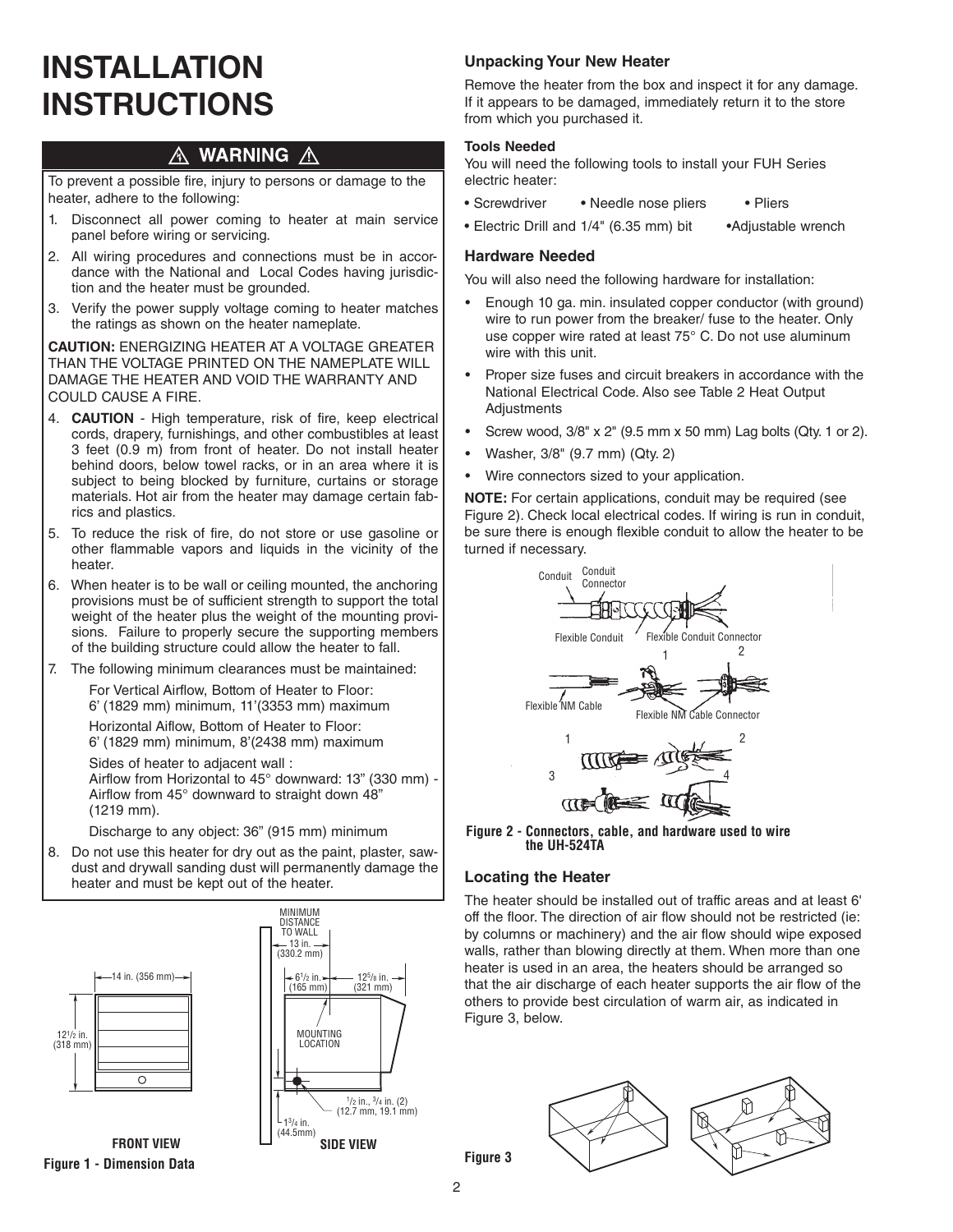# **INSTALLATION INSTRUCTIONS**

#### **WARNING A** Л

To prevent a possible fire, injury to persons or damage to the heater, adhere to the following:

- 1. Disconnect all power coming to heater at main service panel before wiring or servicing.
- 2. All wiring procedures and connections must be in accordance with the National and Local Codes having jurisdiction and the heater must be grounded.
- 3. Verify the power supply voltage coming to heater matches the ratings as shown on the heater nameplate.

**CAUTION:** ENERGIZING HEATER AT A VOLTAGE GREATER THAN THE VOLTAGE PRINTED ON THE NAMEPLATE WILL DAMAGE THE HEATER AND VOID THE WARRANTY AND COULD CAUSE A FIRE.

- 4. **CAUTION** High temperature, risk of fire, keep electrical cords, drapery, furnishings, and other combustibles at least 3 feet (0.9 m) from front of heater. Do not install heater behind doors, below towel racks, or in an area where it is subject to being blocked by furniture, curtains or storage materials. Hot air from the heater may damage certain fabrics and plastics.
- 5. To reduce the risk of fire, do not store or use gasoline or other flammable vapors and liquids in the vicinity of the heater.
- 6. When heater is to be wall or ceiling mounted, the anchoring provisions must be of sufficient strength to support the total weight of the heater plus the weight of the mounting provisions. Failure to properly secure the supporting members of the building structure could allow the heater to fall.
- 7. The following minimum clearances must be maintained:

For Vertical Airflow, Bottom of Heater to Floor: 6' (1829 mm) minimum, 11'(3353 mm) maximum Horizontal Aiflow, Bottom of Heater to Floor:

6' (1829 mm) minimum, 8'(2438 mm) maximum

Sides of heater to adjacent wall :

Airflow from Horizontal to 45° downward: 13" (330 mm) - Airflow from 45° downward to straight down 48" (1219 mm).

Discharge to any object: 36" (915 mm) minimum

8. Do not use this heater for dry out as the paint, plaster, sawdust and drywall sanding dust will permanently damage the heater and must be kept out of the heater.







### **Unpacking Your New Heater**

Remove the heater from the box and inspect it for any damage. If it appears to be damaged, immediately return it to the store from which you purchased it.

### **Tools Needed**

You will need the following tools to install your FUH Series electric heater:

- Screwdriver Needle nose pliers Pliers
- Electric Drill and 1/4" (6.35 mm) bit •Adjustable wrench

### **Hardware Needed**

You will also need the following hardware for installation:

- Enough 10 ga. min. insulated copper conductor (with ground) wire to run power from the breaker/ fuse to the heater. Only use copper wire rated at least 75° C. Do not use aluminum wire with this unit.
- Proper size fuses and circuit breakers in accordance with the National Electrical Code. Also see Table 2 Heat Output Adjustments
- Screw wood, 3/8" x 2" (9.5 mm x 50 mm) Lag bolts (Qty. 1 or 2).
- Washer, 3/8" (9.7 mm) (Qty. 2)
- Wire connectors sized to your application.

**NOTE:** For certain applications, conduit may be required (see Figure 2). Check local electrical codes. If wiring is run in conduit, be sure there is enough flexible conduit to allow the heater to be turned if necessary.



**Figure 2 - Connectors, cable, and hardware used to wire the UH-524TA**

### **Locating the Heater**

The heater should be installed out of traffic areas and at least 6' off the floor. The direction of air flow should not be restricted (ie: by columns or machinery) and the air flow should wipe exposed walls, rather than blowing directly at them. When more than one heater is used in an area, the heaters should be arranged so that the air discharge of each heater supports the air flow of the others to provide best circulation of warm air, as indicated in Figure 3, below.

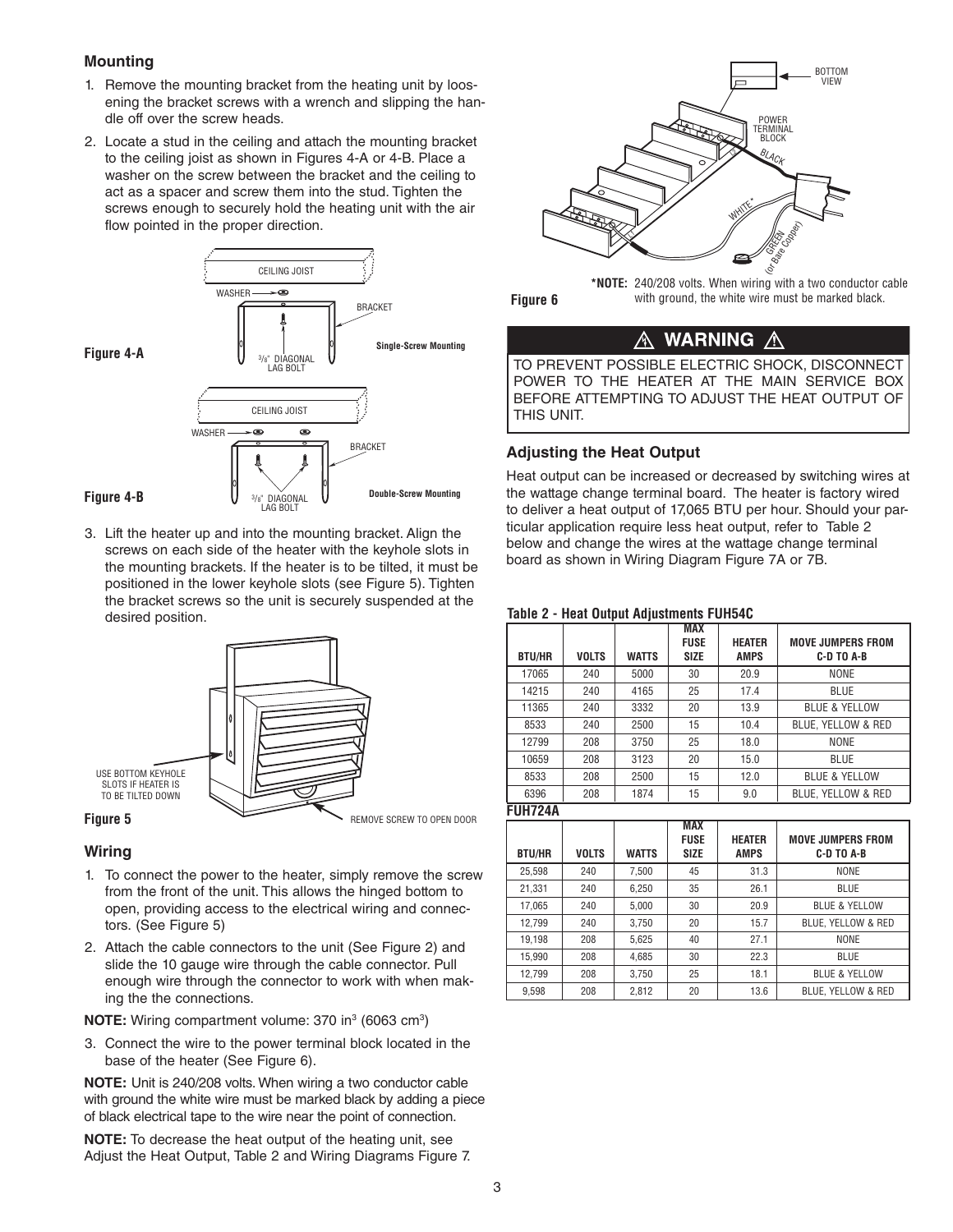### **Mounting**

- 1. Remove the mounting bracket from the heating unit by loosening the bracket screws with a wrench and slipping the handle off over the screw heads.
- 2. Locate a stud in the ceiling and attach the mounting bracket to the ceiling joist as shown in Figures 4-A or 4-B. Place a washer on the screw between the bracket and the ceiling to act as a spacer and screw them into the stud. Tighten the screws enough to securely hold the heating unit with the air flow pointed in the proper direction.



3. Lift the heater up and into the mounting bracket. Align the screws on each side of the heater with the keyhole slots in the mounting brackets. If the heater is to be tilted, it must be positioned in the lower keyhole slots (see Figure 5). Tighten the bracket screws so the unit is securely suspended at the desired position.



### **Wiring**

- 1. To connect the power to the heater, simply remove the screw from the front of the unit. This allows the hinged bottom to open, providing access to the electrical wiring and connectors. (See Figure 5)
- 2. Attach the cable connectors to the unit (See Figure 2) and slide the 10 gauge wire through the cable connector. Pull enough wire through the connector to work with when making the the connections.

**NOTE:** Wiring compartment volume: 370 in<sup>3</sup> (6063 cm<sup>3</sup>)

3. Connect the wire to the power terminal block located in the base of the heater (See Figure 6).

**NOTE:** Unit is 240/208 volts. When wiring a two conductor cable with ground the white wire must be marked black by adding a piece of black electrical tape to the wire near the point of connection.

**NOTE:** To decrease the heat output of the heating unit, see Adjust the Heat Output, Table 2 and Wiring Diagrams Figure 7.





**\*NOTE:** 240/208 volts. When wiring with a two conductor cable with ground, the white wire must be marked black.

#### **WARNING** ⚠ <u>Л\</u>

TO PREVENT POSSIBLE ELECTRIC SHOCK, DISCONNECT POWER TO THE HEATER AT THE MAIN SERVICE BOX BEFORE ATTEMPTING TO ADJUST THE HEAT OUTPUT OF THIS UNIT.

### **Adjusting the Heat Output**

Heat output can be increased or decreased by switching wires at the wattage change terminal board. The heater is factory wired to deliver a heat output of 17,065 BTU per hour. Should your particular application require less heat output, refer to Table 2 below and change the wires at the wattage change terminal board as shown in Wiring Diagram Figure 7A or 7B.

### **Table 2 - Heat Output Adjustments FUH54C**

| <b>BTU/HR</b>  | <b>VOLTS</b> | <b>WATTS</b> | <b>MAX</b><br><b>FUSE</b><br><b>SIZE</b> | <b>HEATER</b><br><b>AMPS</b> | <b>MOVE JUMPERS FROM</b><br>C-D TO A-B |
|----------------|--------------|--------------|------------------------------------------|------------------------------|----------------------------------------|
|                |              |              |                                          |                              |                                        |
| 17065          | 240          | 5000         | 30                                       | 20.9                         | <b>NONE</b>                            |
| 14215          | 240          | 4165         | 25                                       | 17.4                         | <b>BLUE</b>                            |
| 11365          | 240          | 3332         | 20                                       | 13.9                         | <b>BLUE &amp; YELLOW</b>               |
| 8533           | 240          | 2500         | 15                                       | 10.4                         | BLUE, YELLOW & RED                     |
| 12799          | 208          | 3750         | 25                                       | 18.0                         | <b>NONE</b>                            |
| 10659          | 208          | 3123         | 20                                       | 15.0                         | <b>BLUE</b>                            |
| 8533           | 208          | 2500         | 15                                       | 12.0                         | <b>BLUE &amp; YELLOW</b>               |
| 6396           | 208          | 1874         | 15                                       | 9.0                          | BLUE, YELLOW & RED                     |
| <b>FUH724A</b> |              |              |                                          |                              |                                        |

**MAX** FUSE | HEATER | MOVE JUMPERS FROM BTU/HR | VOLTS | WATTS | SIZE | AMPS | C-D TO A-B 25,598 | 240 | 7,500 | 45 | 31.3 | NONE 21,331 | 240 | 6,250 | 35 | 26.1 | BLUE 17,065 240 5,000 30 20.9 BLUE & YELLOW 12,799 240 3,750 20 15.7 BLUE, YELLOW & RED 19,198 | 208 | 5,625 | 40 | 27.1 | NONE 15,990 | 208 | 4,685 | 30 | 22.3 | BLUE 12,799 208 3,750 25 18.1 BLUE & YELLOW 9,598 208 2,812 20 13.6 BLUE, YELLOW & RED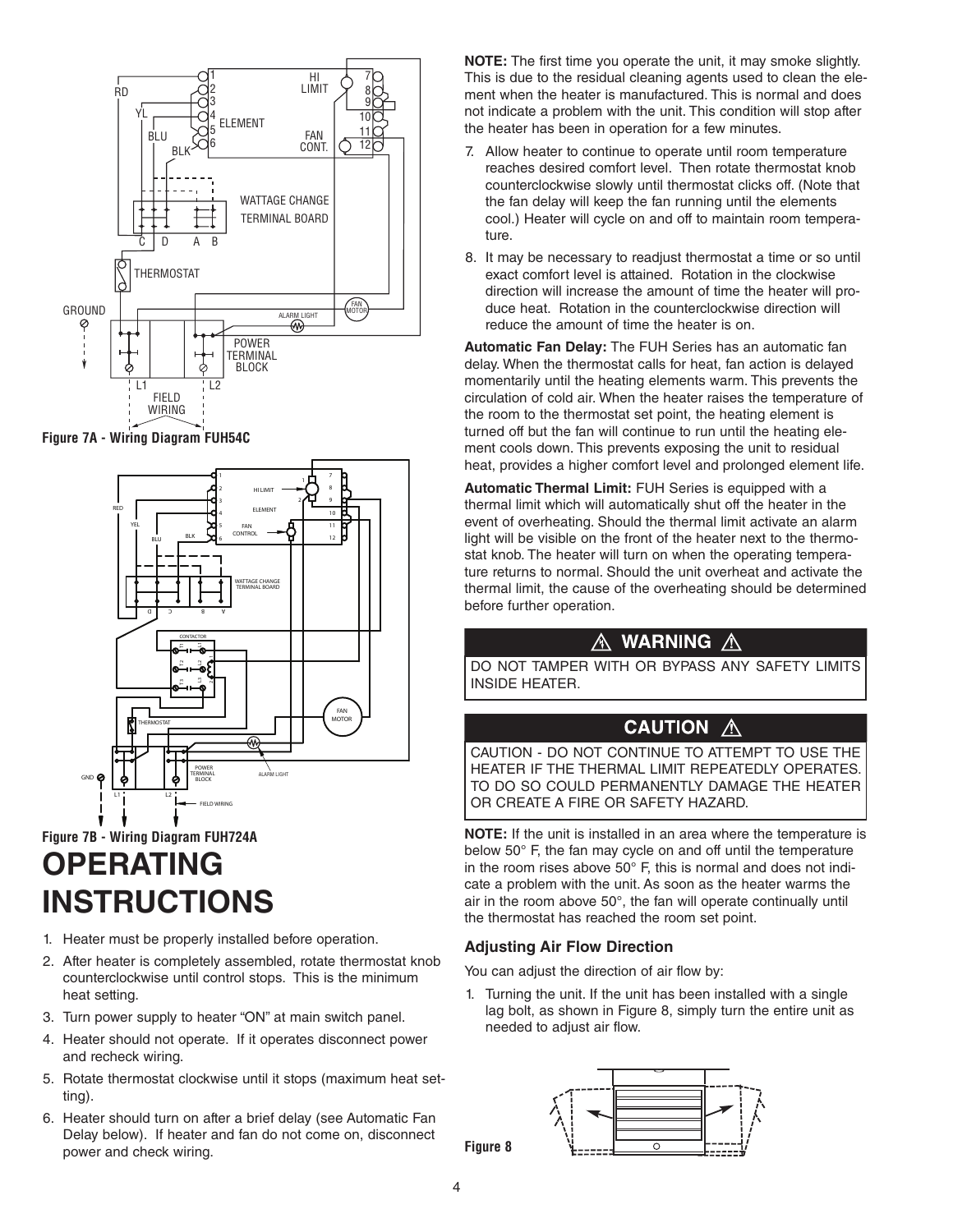

**Figure 7A - Wiring Diagram FUH54C**



## **OPERATING INSTRUCTIONS Figure 7B - Wiring Diagram FUH724A**

- 1. Heater must be properly installed before operation.
- 2. After heater is completely assembled, rotate thermostat knob counterclockwise until control stops. This is the minimum heat setting.
- 3. Turn power supply to heater "ON" at main switch panel.
- 4. Heater should not operate. If it operates disconnect power and recheck wiring.
- 5. Rotate thermostat clockwise until it stops (maximum heat setting).
- 6. Heater should turn on after a brief delay (see Automatic Fan Delay below). If heater and fan do not come on, disconnect power and check wiring.

**NOTE:** The first time you operate the unit, it may smoke slightly. This is due to the residual cleaning agents used to clean the element when the heater is manufactured. This is normal and does not indicate a problem with the unit. This condition will stop after the heater has been in operation for a few minutes.

- 7. Allow heater to continue to operate until room temperature reaches desired comfort level. Then rotate thermostat knob counterclockwise slowly until thermostat clicks off. (Note that the fan delay will keep the fan running until the elements cool.) Heater will cycle on and off to maintain room temperature.
- 8. It may be necessary to readjust thermostat a time or so until exact comfort level is attained. Rotation in the clockwise direction will increase the amount of time the heater will produce heat. Rotation in the counterclockwise direction will reduce the amount of time the heater is on.

**Automatic Fan Delay:** The FUH Series has an automatic fan delay. When the thermostat calls for heat, fan action is delayed momentarily until the heating elements warm. This prevents the circulation of cold air. When the heater raises the temperature of the room to the thermostat set point, the heating element is turned off but the fan will continue to run until the heating element cools down. This prevents exposing the unit to residual heat, provides a higher comfort level and prolonged element life.

**Automatic Thermal Limit:** FUH Series is equipped with a thermal limit which will automatically shut off the heater in the event of overheating. Should the thermal limit activate an alarm light will be visible on the front of the heater next to the thermostat knob. The heater will turn on when the operating temperature returns to normal. Should the unit overheat and activate the thermal limit, the cause of the overheating should be determined before further operation.

## <u>A</u> WARNING A

DO NOT TAMPER WITH OR BYPASS ANY SAFETY LIMITS INSIDE HEATER.

## **CAUTION A**

CAUTION - DO NOT CONTINUE TO ATTEMPT TO USE THE HEATER IF THE THERMAL LIMIT REPEATEDLY OPERATES. TO DO SO COULD PERMANENTLY DAMAGE THE HEATER OR CREATE A FIRE OR SAFETY HAZARD.

**NOTE:** If the unit is installed in an area where the temperature is below 50° F, the fan may cycle on and off until the temperature in the room rises above 50° F, this is normal and does not indicate a problem with the unit. As soon as the heater warms the air in the room above 50°, the fan will operate continually until the thermostat has reached the room set point.

### **Adjusting Air Flow Direction**

You can adjust the direction of air flow by:

1. Turning the unit. If the unit has been installed with a single lag bolt, as shown in Figure 8, simply turn the entire unit as needed to adjust air flow.



**Figure 8**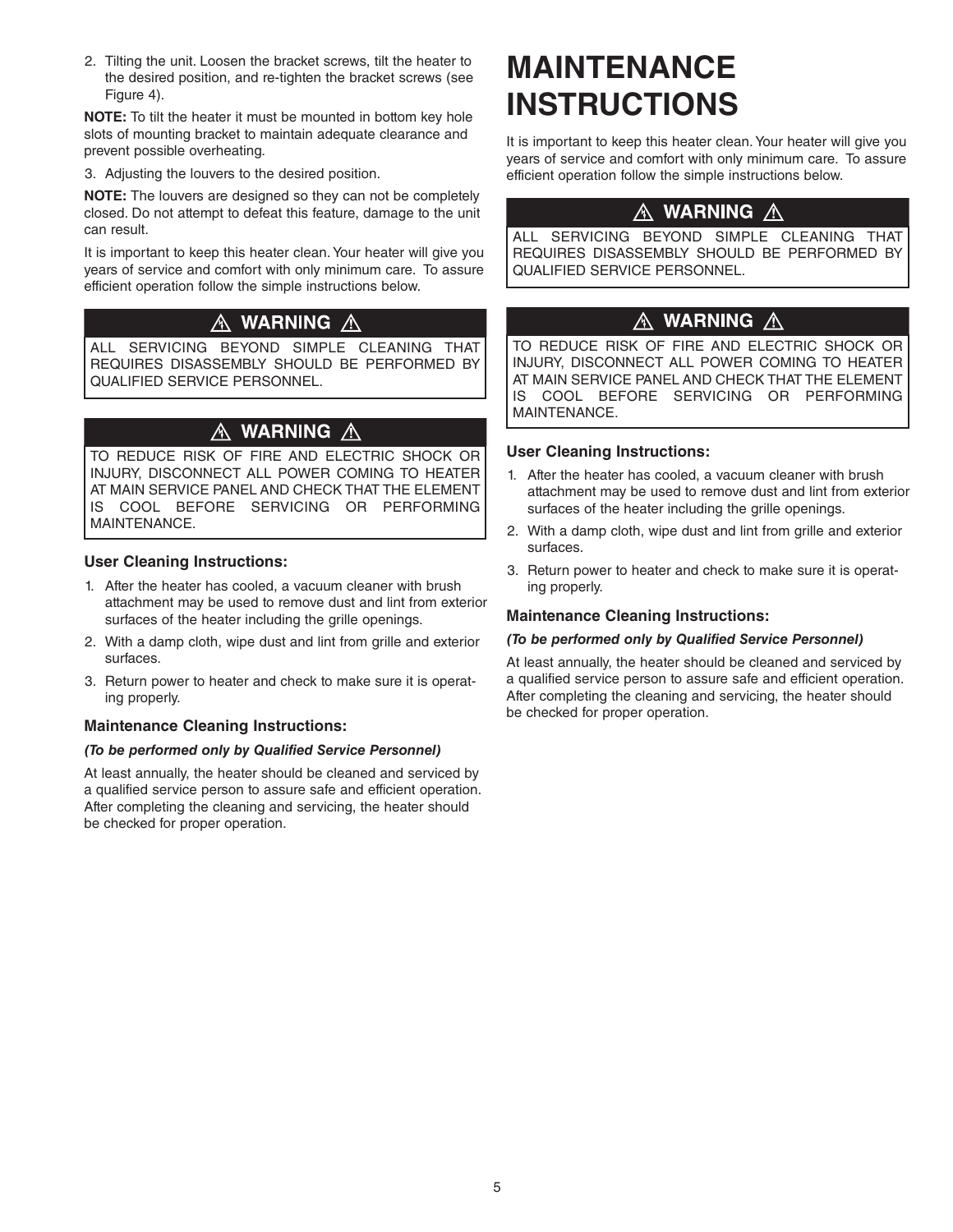2. Tilting the unit. Loosen the bracket screws, tilt the heater to the desired position, and re-tighten the bracket screws (see Figure 4).

**NOTE:** To tilt the heater it must be mounted in bottom key hole slots of mounting bracket to maintain adequate clearance and prevent possible overheating.

3. Adjusting the louvers to the desired position.

**NOTE:** The louvers are designed so they can not be completely closed. Do not attempt to defeat this feature, damage to the unit can result.

It is important to keep this heater clean. Your heater will give you years of service and comfort with only minimum care. To assure efficient operation follow the simple instructions below.

### △ WARNING △

ALL SERVICING BEYOND SIMPLE CLEANING THAT REQUIRES DISASSEMBLY SHOULD BE PERFORMED BY QUALIFIED SERVICE PERSONNEL.

## <u>A</u> WARNING <u>A</u>

TO REDUCE RISK OF FIRE AND ELECTRIC SHOCK OR INJURY, DISCONNECT ALL POWER COMING TO HEATER AT MAIN SERVICE PANEL AND CHECK THAT THE ELEMENT IS COOL BEFORE SERVICING OR PERFORMING MAINTENANCE.

### **User Cleaning Instructions:**

- 1. After the heater has cooled, a vacuum cleaner with brush attachment may be used to remove dust and lint from exterior surfaces of the heater including the grille openings.
- 2. With a damp cloth, wipe dust and lint from grille and exterior surfaces.
- 3. Return power to heater and check to make sure it is operating properly.

### **Maintenance Cleaning Instructions:**

### *(To be performed only by Qualified Service Personnel)*

At least annually, the heater should be cleaned and serviced by a qualified service person to assure safe and efficient operation. After completing the cleaning and servicing, the heater should be checked for proper operation.

# **MAINTENANCE INSTRUCTIONS**

It is important to keep this heater clean. Your heater will give you years of service and comfort with only minimum care. To assure efficient operation follow the simple instructions below.

### $\wedge$  warning  $\wedge$

ALL SERVICING BEYOND SIMPLE CLEANING THAT REQUIRES DISASSEMBLY SHOULD BE PERFORMED BY QUALIFIED SERVICE PERSONNEL.

#### AN. **WARNING** A

TO REDUCE RISK OF FIRE AND ELECTRIC SHOCK OR INJURY, DISCONNECT ALL POWER COMING TO HEATER AT MAIN SERVICE PANEL AND CHECK THAT THE ELEMENT IS COOL BEFORE SERVICING OR PERFORMING MAINTENANCE.

### **User Cleaning Instructions:**

- 1. After the heater has cooled, a vacuum cleaner with brush attachment may be used to remove dust and lint from exterior surfaces of the heater including the grille openings.
- 2. With a damp cloth, wipe dust and lint from grille and exterior surfaces.
- 3. Return power to heater and check to make sure it is operating properly.

### **Maintenance Cleaning Instructions:**

#### *(To be performed only by Qualified Service Personnel)*

At least annually, the heater should be cleaned and serviced by a qualified service person to assure safe and efficient operation. After completing the cleaning and servicing, the heater should be checked for proper operation.